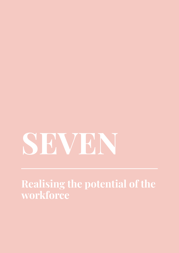# **SEVEN**

**Realising the potential of the workforce**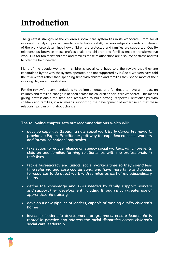# **Introduction**

The greatest strength of the children's social care system lies in its workforce. From social workers to family support workers to residential care staff, the knowledge, skills and commitment of the workforce determines how children are protected and families are supported. Quality relationships between these professionals and children and families enable transformative work. But for too many children and families these relationships are a source of stress and fail to offer the help needed.

Many of the people working in children's social care have told the review that they are constrained by the way the system operates, and not supported by it. Social workers have told the review that rather than spending time with children and families they spend most of their working day on administration.

For the review's recommendations to be implemented and for these to have an impact on children and families, change is needed across the children's social care workforce. This means giving professionals the time and resources to build strong, respectful relationships with children and families, it also means supporting the development of expertise so that these relationships can bring about change.

#### **The following chapter sets out recommendations which will:**

- *• develop expertise through a new social work Early Career Framework, provide an Expert Practitioner pathway for experienced social workers and introduce national pay scales*
- *• take action to reduce reliance on agency social workers, which prevents children and families forming relationships with the professionals in their lives*
- *• tackle bureaucracy and unlock social workers time so they spend less time referring and case coordinating, and have more time and access to resources to do direct work with families as part of multidisciplinary teams*
- *• define the knowledge and skills needed by family support workers and support their development including through much greater use of apprenticeship training*
- *• develop a new pipeline of leaders, capable of running quality children's homes*
- *• invest in leadership development programmes, ensure leadership is rooted in practice and address the racial disparities across children's social care leadership*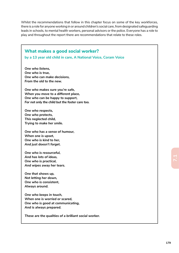Whilst the recommendations that follow in this chapter focus on some of the key workforces, there is a role for anyone working in or around children's social care, from designated safeguarding leads in schools, to mental health workers, personal advisors or the police. Everyone has a role to play and throughout the report there are recommendations that relate to these roles.

#### **What makes a good social worker?**

**by a 13 year old child in care, A National Voice, Coram Voice**

*One who listens, One who is true, One who can make decisions, From the old to the new.*

*One who makes sure you're safe, When you move to a different place, One who can be happy to support, For not only the child but the foster care too.*

*One who respects, One who protects, This neglected child, Trying to make her smile.*

*One who has a sense of humour, When one is upset, One who is kind to her, And just doesn't forget.*

*One who is resourceful, And has lots of ideas, One who is practical, And wipes away her tears.*

*One that shows up, Not letting her down, One who is consistent, Always around.*

*One who keeps in touch, When one is worried or scared, One who is good at communicating, And is always prepared.*

*These are the qualities of a brilliant social worker.*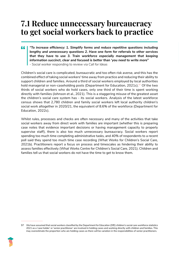## **7.1 Reduce unnecessary bureaucracy to get social workers back to practice**

*"To increase efficiency: 1. Simplify forms and reduce repetitive questions including lengthy and unnecessary questions 2. Have one form for referrals to other services that they have to use 3. Train workforce especially management that keeping information succinct, clear and focused is better than 'you need to write more" - Social worker responding to review via Call for Ideas*

Children's social care is complicated, bureaucratic and too often risk averse, and this has the combined effect of taking social workers' time away from practice and reducing their ability to support children and families. Around a third of social workers employed by local authorities hold managerial or non-caseholding posts (Department for Education, 2021c).<sup>97</sup> Of the two thirds of social workers who do hold cases, only one third of their time is spent working directly with families (Johnson et al., 2021). This is a staggering misuse of the greatest asset the children's social care system has - its social workers. Analysis of the latest workforce census shows that 2,780 children and family social workers left local authority children's social work altogether in 2020/21, the equivalent of 8.6% of the workforce (Department for Education, 2022c).

Whilst rules, processes and checks are often necessary and many of the activities that take social workers away from direct work with families are important (whether this is preparing case notes that evidence important decisions or having management capacity to properly supervise staff), there is also too much unnecessary bureaucracy. Social workers report spending too much time completing administrative tasks, and 40% of respondents to a recent poll said they spend too much time case recording (What Works for Children's Social Care, 2021b). Practitioners report a focus on process and timescales as hindering their ability to assess families effectively (What Works Centre for Children's Social Care, 2021). Children and families tell us that social workers do not have the time to get to know them.

<sup>97</sup> We have assumed that social workers classified by the Department for Education (DfE) children's social care workforce statistics 2021 as a 'case holder' or 'senior practitioner' are involved in holding cases and working directly with children and families. This may overestimate the proportion who are holding cases as there will be variation in the responsibilities of senior practitioners.

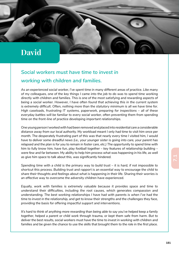## **David**

## *Social workers must have time to invest in working with children and families.*

*As an experienced social worker, I've spent time in many different areas of practice. Like many of my colleagues, one of the key things I came into the job to do was to spend time working directly with children and families. This is one of the most satisfying and rewarding aspects of being a social worker. However, I have often found that achieving this in the current system is extremely difficult. Often, nothing more than the statutory minimum is all we have time for. High caseloads, frustrating IT systems, paperwork, preparing for inspections – all of these everyday battles will be familiar to every social worker, often preventing them from spending time on the front-line of practice developing important relationships.*

*One young person I worked with had been removed and placed into residential care a considerable distance away from our local authority. My workload meant I only had time to visit him once per month. The desperately frustrating part of this was that nearly every time I visited him, I would have to deliver some dreadful news (i.e., your younger sister is going into care, your parent has relapsed and the plan is for you to remain in foster care, etc.) The opportunity to spend time with him to fully know him, have fun, play football together – key features of relationship building – were few and far between. My ability to help him process what was happening in his life, as well as give him space to talk about this, was significantly hindered.*

*Spending time with a child is the primary way to build trust – it is hard, if not impossible to shortcut this process. Building trust and rapport is an essential way to encourage the child to share their thoughts and feelings about what is happening in their life. Sharing their worries is an effective way to overcome the adversity children have experienced.*

*Equally, work with families is extremely valuable because it provides space and time to understand their difficulties, including the root causes, which generates compassion and understanding. The best working relationships I have had with parents is when I've had the time to invest in the relationship, and get to know their strengths and the challenges they face, providing the basis for offering impactful support and interventions.*

*It's hard to think of anything more rewarding than being able to say you've helped keep a family together, helped a parent or child work through trauma, or kept them safe from harm. But to deliver the best results, social workers must have the time to invest in working with children and families and be given the chance to use the skills that brought them to the role in the first place.*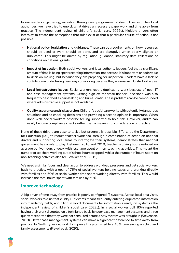In our evidence gathering, including through our programme of deep dives with ten local authorities, we have tried to unpick what drives unnecessary paperwork and time away from practice (The independent review of children's social care, 2022c). Multiple drivers often interplay to create the perceptions that rules exist or that a particular course of action is not possible.

- **National policy, legislation and guidance**: These can put requirements on how resources should be used or work should be done, and are disruptive when poorly aligned or duplicated. This might be driven by regulation, guidance, statutory data collections or conditions on national grants.
- **Impact of inspection**: Both social workers and local authority leaders feel that a significant amount of time is being spent recording information, not because it is important or adds value to decision making, but because they are preparing for inspection. Leaders have a lack of confidence in undertaking new ways of working because they are unsure if Ofsted will agree.
- **Local infrastructure issues**: Social workers report duplicating work because of poor IT and case management systems. Getting sign off for small financial decisions was also frequently described as painstaking and bureaucratic. These problems can be compounded where administrative support is not available.
- **Quality assurance and risk aversion**: Children's social care works with potentially dangerous situations and so checking decisions and providing a second opinion is important. When done well, social workers describe feeling supported to hold risk. However, audits can easily become compliance checks rather than a meaningful consideration of practice.

None of these drivers are easy to tackle but progress is possible. Efforts by the Department for Education (DfE) to reduce teacher workload, through a combination of action on national drivers and supporting local areas to interrogate their systems, demonstrates that national government has a role to play. Between 2016 and 2019, teacher working hours reduced on average by five hours a week with less time spent on non-teaching activities. This meant the number of teachers working out of school hours dropped, whilst the number of hours spent on non-teaching activities also fell (Walker et al., 2019).

We need a similar focus and clear action to address workload pressures and get social workers back to practice, with a goal of 75% of social workers holding cases and working directly with families and 50% of social worker time spent working directly with families. This would increase the total hours spent with families by 69%.

### **Improve technology**

A big driver of time away from practice is poorly configured IT systems. Across local area visits, social workers told us that clunky IT systems meant frequently entering duplicated information into mandatory fields, and filling in word documents for information already on systems (The independent review of children's social care, 2022c). In a social worker poll, 80% reported having their work disrupted on a fortnightly basis by poor case management systems, and three quarters reported that they were not consulted before a new system was brought in (Stevenson, 2019). Better case management systems can make a significant difference to time away from practice. In North Tyneside, work to improve IT systems led to a 48% time saving on child and family assessments (Flavell et al., 2020).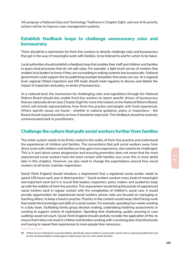We propose a National Data and Technology Taskforce in Chapter Eight, and one of its priority actions will be to improve case management systems.

#### **Establish feedback loops to challenge unnecessary rules and bureaucracy**

There should be a mechanism for front-line workers to directly challenge rules and bureaucracy that get in the way of meaningful work with families, to be listened to and for action to be taken.

Local authorities should establish a feedback loop that enables their staff and children and families to query local processes that do not add value. For example, a light touch survey of workers that enables local leaders to know if they are succeeding in making systems less bureaucratic. National government could support this by publishing example templates that areas can use. At a regional level, regional Ofsted inspectors and DfE leads should meet regularly to discuss and debate the impact of inspection and policy on levels of bureaucracy.

At a national level, the mechanism for challenging rules and regulations through the National Reform Board should also enable front-line workers to report specific drivers of bureaucracy that are nationally driven (see Chapter Eight for more information on the National Reform Board, which will include representatives from front-line practice and people with lived experience). Where specific issues are found - whether in national guidance, policy or inspections - the Board should respond publicly on how it should be improved. This feedback should be routinely communicated back to practitioners.

#### **Challenge the culture that pulls social workers further from families**

The entire system needs to be firmly rooted in the reality of front-line practice and understand the experiences of children and families. The conventions that pull social workers away from direct work with children and families as they gain more experience, also need to be challenged. This is in part about career progression and ensuring promotion does not mean that the most experienced social workers have the least contact with families (we cover this in more detail later in this chapter). However, we also need to change the expectations around how social workers at all levels maintain registration.

Social Work England should introduce a requirement that a registered social worker needs to spend 100 hours each year in direct practice.<sup>98</sup> Social workers conduct many kinds of meaningful and important work but it is crucial that leaders, inspectors, policy makers and academics keep up with the realities of front line practice. This requirement would bring thousands of experienced social workers back in regular contact with the complexities of children's social care. It would provide opportunities for experienced social workers whose roles are focused on managing or teaching others, to keep a hand in practice. Practice in this context would mean client facing work that needs the knowledge and skills of a social worker. For example, spending two weeks working in a duty team, facilitating family group decision making, undertaking fostering assessments or working to support victims of exploitation. Spending time shadowing, quality assuring or case auditing would not count. Social Work England should carefully consider the application of this, to ensure that it does not result in children and families working with a revolving door of professionals and having to repeat their experiences to more people than necessary.

<sup>98</sup> Whilst we are making this recommendation specifically about children's social work, social work is a general qualification and so this recommendation would apply to adult social care too with similar benefits.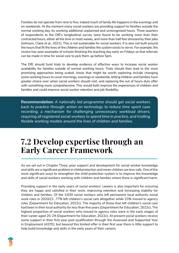Families do not operate from nine to five, indeed much of family life happens in the evenings and on weekends. At the moment many social workers are providing support to families outside the normal working day, by working additional unplanned and unrecognised hours. Three quarters of respondents to the DfE's longitudinal survey were found to be working more than their contracted hours, either all the time or most weeks, and more than half feel stressed by their jobs (Johnson, Claire et al., 2021). This is not sustainable for social workers. It is also not built around the hours that fit the lives of the children and families the system exists to serve. For example, the review has seen examples of schools finishing the teaching day early on Fridays so that referrals can be made in time for social care to pick them up before 5pm.

The DfE should fund trials to develop evidence of effective ways to increase social worker availability for families outside of normal working hours. Trials should then lead to the most promising approaches being scaled. Areas that might be worth exploring include changing some working hours to cover mornings, evenings or weekends, letting children and families have greater choice over when social workers should visit, and replacing the out of hours duty offer with something more comprehensive. This would both improve the experiences of children and families and could improve social worker retention and job flexibility.

**Recommendation:** *A nationally led programme should get social workers back to practice through: action on technology to reduce time spent case recording; a mechanism for challenging unnecessary workload drivers; requiring all registered social workers to spend time in practice, and trialling flexible working models around the lives of children and families.* 

## **7.2 Develop expertise through an Early Career Framework**

As we set out in Chapter Three, poor support and development for social worker knowledge and skills are a significant problem in child protection and mean children are less safe. One of the most significant ways to strengthen the child protection system is to improve the knowledge and skills of social workers working with children and families where there is significant harm.

Providing support in the early years of social workers' careers is also important for ensuring they are happy and satisfied in their work, improving retention and increasing stability for children and families. Of the 3,630 social workers who left permanent local authority social work roles in 2020/21, 77% left children's social care altogether while 23% moved to agency roles (Department for Education, 2022c). The majority of those that left children's social care had been in their local authority for less than five years (Department for Education, 2022c). The highest proportion of social workers who moved to agency roles were in the early stages of their career aged 20-29 (Department for Education, 2022c). At present social workers receive some support in their first year post qualification through the Assessed and Supported Year in Employment (ASYE), but beyond this limited offer in their first year there is little support to help build knowledge and skills in the early years of their careers.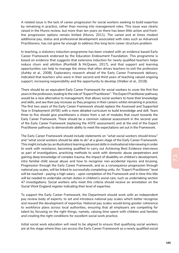A related issue is the lack of career progression for social workers seeking to build expertise by remaining in practice, rather than moving into management roles. This issue was clearly raised in the Munro review, but more than ten years on there has been little action and frontline progression options remain limited (Munro, 2011). The varied and at times modest additional pay, status and professional development associated with roles such as Advanced Practitioners, has not gone far enough to address this long term career structure problem.

In teaching, a statutory induction programme has been created with an evidence based Early Career Framework endorsed by the Education Endowment Foundation. This programme is based on evidence that suggests that extensive induction for newly qualified teachers helps reduce churn and attrition (Ronfeldt & McQueen, 2017), and that support and learning opportunities can help to manage the stress that often drives teachers to exit the profession (Ashby et al., 2008). Exploratory research ahead of the Early Career Framework delivery, indicated that teachers who were in their second and third years of teaching valued ongoing support, increasing responsibility and the opportunity to develop (Walker et al., 2018).

There should be an equivalent Early Career Framework for social workers to cover the first five years in the profession, leading to the role of "Expert Practitioner". The Expert Practitioner pathway would be a new alternative to management, that allows social workers to hone their knowledge and skills, and see their pay increase as they progress in their careers whilst remaining in practice. The first two years of the Early Career Framework should replace the Assessed and Supported Year in Employment (AYSE) with a more detailed curriculum to build knowledge and skill. Years three to five should give practitioners a choice from a set of modules that count towards the Early Career Framework. There should be a common national assessment in the second year of the Early Career Framework (replacing the ASYE assessment) and at the end of the Expert Practitioner pathway to demonstrate ability to meet the expectations set out in the Framework.

The Early Career Framework should include statements on *"what social workers should know"* and *"what social workers should be able to do"* at a given stage of the Early Career Framework. This might include (as an illustration) learning advanced skills in motivational interviewing in order to work with resistance, becoming qualified to carry out Achieving Best Evidence interviews as part of investigations, practicing methods to work with domestic abuse perpetrators and gaining deep knowledge of complex trauma, the impact of disability on children's development, intra familial child sexual abuse and how to recognise non-accidental injuries and bruising. Progression through the Early Career Framework, and as a consequence progression through national pay scales, will be linked to successfully completing units. An "Expert Practitioner" level will be reached - paying a high salary - upon completion of the Framework and in time this title will be needed to undertake certain duties in children's social care, such as undertaking section 47 investigations. Social workers who meet this criteria should receive an annotation on the Social Work England register indicating their level of expertise.

To support the Early Career Framework, the Department should work with an independent pay review body of experts, to set and introduce national pay scales which better recognise and reward the development of expertise. National pay scales would bring greater coherence to workforce plans across local authorities, ensuring that all employers are competing for talent by focusing on the right things, namely, valuing time spent with children and families and creating the right conditions for excellent social work practice.

Initial social work education will need to be aligned to ensure that qualifying social workers are at the stage where they can access the Early Career Framework as a newly qualified social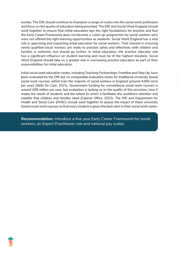worker. The DfE should continue to champion a range of routes into the social work profession and focus on the quality of education being provided. The DfE and Social Work England should work together to ensure that initial education lays the right foundations for practice and that the Early Career Framework does not become a 'catch up' programme for social workers who were not offered the right learning opportunities as students. Social Work England has a vital role in approving and inspecting initial education for social workers. Their interest in ensuring newly qualified social workers are ready to practise safely and effectively with children and families is welcome, but should go further. In initial education, the practice educator role has a significant influence on student learning and must be of the highest standard. Social Work England should take on a greater role in overseeing practice educators as part of their responsibilities for initial education.

Initial social work education routes, including Teaching Partnerships, Frontline and Step Up, have been evaluated by the DfE but no comparable evaluation exists for traditional university based social work courses, which train the majority of social workers in England (around 4,000 enrol per year) (Skills for Care, 2021). Government funding for conventional social work courses is around £69 million per year, but evaluation is lacking as to the quality of this provision, how it meets the needs of students and the extent to which it facilitates the workforce retention and stability that children and families need (Cabinet Office, 2022). The DfE and Department for Health and Social Care (DHSC) should work together to assess the impact of these university based social work courses so that every student is given the best start to their social work career.

**Recommendation:** *Introduce a five year Early Career Framework for social workers, an Expert Practitioner role and national pay scales.*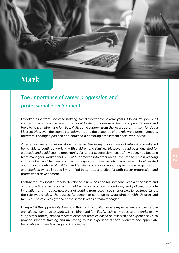## **Mark**

## *The importance of career progression and professional development.*

*I* worked as a front-line case holding social worker for several years. I loved my job, but I *wanted to acquire a specialism that would satisfy my desire to learn and provide ideas and tools to help children and families. With some support from the local authority, I self-funded a Masters. However, the course commitments and the demands of the role were unmanageable, therefore, I changed position and obtained a parenting assessment social worker role.*

*After a few years, I had developed an expertise in my chosen area of interest and relished being able to continue working with children and families. However, I had been qualified for a decade and could see no opportunity for career progression. Most of my peers had become team managers, worked for CAFCASS, or moved into other areas. I wanted to remain working with children and families and had no aspiration to move into management. I deliberated about moving outside of children and families social work, enquiring with other organisations and charities where I hoped I might find better opportunities for both career progression and professional development.*

*Fortunately, my local authority developed a new position for someone with a specialism and ample practice experience who could enhance practice, procedures, and policies, promote innovation, and introduce new ways of working from recognised sites of excellence. Importantly, the role would allow the successful person to continue to work directly with children and families. The role was graded at the same level as a team manager.*

*I jumped at the opportunity. I am now thriving in a position where my experience and expertise are valued. I continue to work with children and families (which is my passion and enriches my support for others), driving forward excellent practice based on research and experience. I also provide support, training and mentoring to less experienced social workers and appreciate being able to share learning and knowledge.*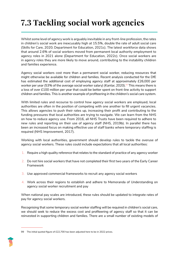# **7.3 Tackling social work agencies**

Whilst some level of agency work is arguably inevitable in any front-line profession, the rates in children's social work are inexcusably high at 15.5%, double the rate of adult social care (Skills for Care, 2020; Department for Education, 2021c). The latest workforce data shows that around 2.6% of social workers moved from permanent local authority employment to agency roles in 2021 alone (Department for Education, 2022c). Once social workers are in agency roles they are more likely to move around, contributing to the instability children and families experience.

Agency social workers cost more than a permanent social worker, reducing resources that might otherwise be available for children and families. Recent analysis conducted for the DfE has estimated the additional cost of employing agency staff at approximately £26,000 per worker per year (53% of the average social worker salary) (Kantar, 2020).<sup>99</sup> This means there is a loss of over £100 million per year that could be better spent on front-line activity to support children and families. This is another example of profiteering in the children's social care system.

With limited rules and recourse to control how agency social workers are employed, local authorities are often in the position of competing with one another to fill urgent vacancies. This allows agencies to push their rates up, increasing their profit and contributing to the funding pressures that local authorities are trying to navigate. We can learn from the NHS on how to reduce agency use. From 2016, all NHS Trusts have been required to adhere to new rules and reporting on their use of agency staff (NHS, 2019b). In parallel there has been an increased focus on making effective use of staff banks where temporary staffing is required (NHS Improvement, 2017).

Working with local authorities, government should develop rules to tackle the overuse of agency social workers. These rules could include expectations that all local authorities:

- 1. Require a high quality reference that relates to the standard of practice of any agency worker
- 2. Do not hire social workers that have not completed their first two years of the Early Career Framework
- 3. Use approved commercial frameworks to recruit any agency social workers
- 4. Work across their regions to establish and adhere to Memoranda of Understanding on agency social worker recruitment and pay

When national pay scales are introduced, these rules should be updated to integrate rates of pay for agency social workers.

Recognising that some temporary social worker staffing will be required in children's social care, we should seek to reduce the excess cost and profiteering of agency staff so that it can be reinvested in supporting children and families. There are a small number of existing models of

<sup>99</sup> The initial quoted figure of £22,700 has been adjusted here to be in 2022 prices.

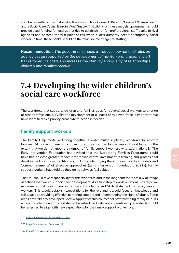staff banks within individual local authorities, such as 'Connect2Kent'<sup>100</sup>, 'Connect2Hampshire'<sup>101</sup> and a Social Care Casual Bank in West Sussex.102 Building on these models, government should provide seed funding for local authorities to establish not-for-profit regional staff banks to rival agencies and become the first point of call when a local authority needs a temporary social worker. In time, these banks should be the main source of agency staffing.

**Recommendation:** *The government should introduce new national rules on*  agency usage supported by the development of not-for-profit regional staff *banks to reduce costs and increase the stability and quality of relationships children and families receive.* 

## **7.4 Developing the wider children's social care workforce**

The workforce that supports children and families goes far beyond social workers to a range of other professionals. Whilst the development of all parts of this workforce is important, we have identified two priority areas where action is needed.

#### **Family support workers**

The Family Help model will bring together a wider multidisciplinary workforce to support families. At present there is no plan for supporting the family support workforce, to the extent that we do not know the number of family support workers who exist nationally. The Early Intervention Foundation has advised that the Supporting Families Programme could have had an even greater impact if there was central investment in training and professional development for these practitioners, including identifying the strongest practice models and 'common elements' of effective approaches (Early Intervention Foundation, 2021a). Family support workers have told us they do not always feel valued.

The DfE should take responsibility for this workforce and in the long term there are a wide range of actions that would support their development. As a first step towards a national strategy, we recommend that government introduce a Knowledge and Skills statement for family support workers. This would establish expectations for the role and it would focus on knowledge and skills, such as providing effective parenting support and understanding the signs of abuse. Some areas have already developed Level 4 Apprenticeship courses for staff providing family help. As a new Knowledge and Skills statement is introduced, relevant apprenticeship standards should be refreshed to align with new expectations for the family support worker role.

<sup>100</sup> https://www.connect2hampshire.co.uk/#!

<sup>101</sup> https://www.connect2kent.co.uk/#!/

<sup>102</sup> https://www.westsussex.gov.uk/jobs/featured-jobs/social-care-casual-bank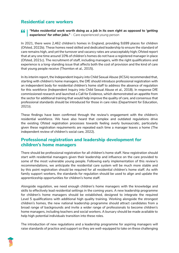## **Residential care workers**

*"Make residential work worth doing as a job in its own right as opposed to 'getting experience' for other jobs." - Care experienced young person*

In 2021, there were 2,462 children's homes in England, providing 9,699 places for children (Ofsted, 2022b). These homes need skilled and dedicated leadership to ensure the standard of care remains high, and yet the turnover and vacancy rates are unacceptably high; Ofsted report that at any one time around 10% of children's homes do not have a registered manager in place (Ofsted, 2021c). The recruitment of staff, including managers, with the right qualifications and experience is a long-standing issue that affects both the cost of provision and the kind of care that young people receive (Thornton et al., 2015).

In its interim report, the Independent Inquiry into Child Sexual Abuse (IICSA) recommended that, starting with children's home managers, the DfE should introduce professional registration with an independent body for residential children's home staff to address the absence of regulation for this workforce (Independent Inquiry into Child Sexual Abuse et al., 2018). In response DfE commissioned research and launched a Call for Evidence, which demonstrated an appetite from the sector for additional training that would help improve the quality of care, and consensus that professional standards should be introduced for those in care roles (Department for Education, 2021i).

These findings have been confirmed through the review's engagement with the children's residential workforce. We have also heard that complex and outdated regulations drive the existing Ofsted registration processes towards feeling overly bureaucratic, particularly given these registration requirements are repeated each time a manager leaves a home (The independent review of children's social care, 2022).

### **Professional registration and leadership development for children's home managers**

There should be professional registration for all children's home staff. New registration should start with residential managers given their leadership and influence on the care provided to some of the most vulnerable young people. Following early implementation of this review's recommendations, we anticipate the residential care system will be much more stable and by this point registration should be required for all residential children's home staff. As with family support workers, the standards for regulation should be used to align and update the apprenticeship opportunities for children's home staff.

Alongside regulation, we need enough children's home managers with the knowledge and skills to effectively lead residential settings in the coming years. A new leadership programme for children's home managers should be established, designed to integrate the required Level 5 qualifications with additional high quality training. Working alongside the strongest children's homes, the new national leadership programme should attract candidates from a broad range of backgrounds and invite a wider range of professionals to become children's home managers, including teachers and social workers. A bursary should be made available to help high potential individuals transition into these roles.

The introduction of new regulations and a leadership programme for aspiring managers will raise standards of practice and support so they are well-equipped to take on these challenging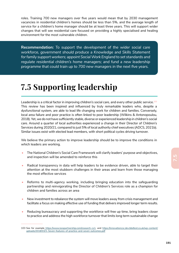roles. Training 700 new managers over five years would mean that by 2030 management vacancies in residential children's homes should be less than 5%, and the average length of service for a children's home manager should be at least three years. This will support wider changes that will see residential care focused on providing a highly specialised and healing environment for the most vulnerable children.

**Recommendation:** *To support the development of the wider social care workforce, government should produce a Knowledge and Skills Statement for family support workers; appoint Social Work England to set standards and regulate residential children's home managers; and fund a new leadership programme that could train up to 700 new managers in the next five years.* 

# **7.5 Supporting leadership**

Leadership is a critical factor in improving children's social care, and every other public service.<sup>103</sup> This review has been inspired and influenced by truly remarkable leaders who, despite a dysfunctional system, are able to lead life changing work for children and families. Conversely, local area failure and poor practice is often linked to poor leadership (Wilkins & Antonopoulou, 2018). Yet, we do not have sufficiently stable, diverse or experienced leadership in children's social care. Around a quarter of local authorities experienced a change in their Director of Children's Services during 2020/21, compared to just 5% of local authority chief executives (ADCS, 2021b). Similar issues exist with elected lead members, with short political cycles driving turnover.

We believe the primary action to improve leadership should be to improve the conditions in which leaders are working.

- The National Children's Social Care Framework will clarify leaders' purpose and objectives, and inspection will be amended to reinforce this
- Radical transparency in data will help leaders to be evidence driven, able to target their attention at the most stubborn challenges in their areas and learn from those managing the most effective services
- Reforms to multi-agency working, including bringing education into the safeguarding partnership and reinvigorating the Director of Children's Services role as a champion for children and families across an area
- New investment to rebalance the system will move leaders away from crisis management and facilitate a focus on making effective use of funding that delivers improved longer term results.
- Reducing bureaucracy and supporting the workforce will free up time, bring leaders closer to practice and address the high workforce turnover that limits long term sustainable change

<sup>103</sup> See for example https://www.isospartnership.com/research-cs1, and https://innovationcsc.dev.bbdtest.co.uk/wp-content/ uploads/2018/03/3.-Seven-features-of-practice-and-seven-outcomes.pdf